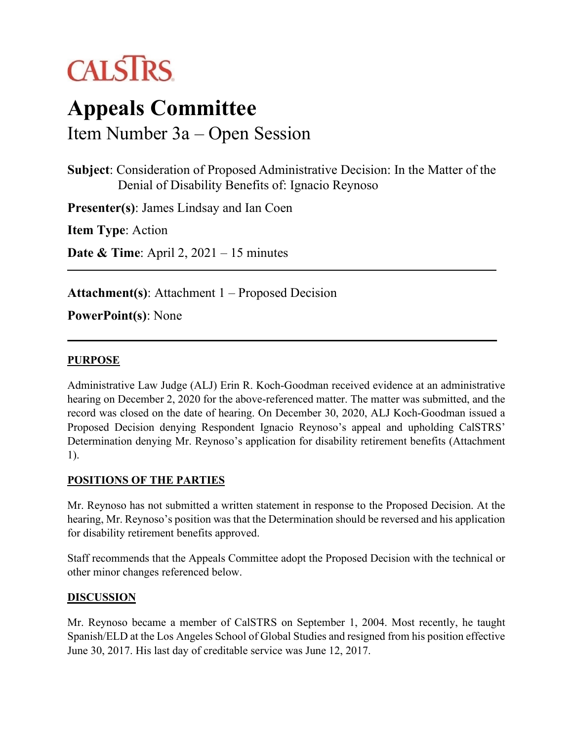

# **Appeals Committee** Item Number 3a – Open Session

**Subject**: Consideration of Proposed Administrative Decision: In the Matter of the

Denial of Disability Benefits of: Ignacio Reynoso

**Presenter(s)**: James Lindsay and Ian Coen

**Item Type**: Action

**Date & Time**: April 2, 2021 – 15 minutes

**Attachment(s)**: Attachment 1 – Proposed Decision

### **PowerPoint(s)**: None

#### **PURPOSE**

Administrative Law Judge (ALJ) Erin R. Koch-Goodman received evidence at an administrative hearing on December 2, 2020 for the above-referenced matter. The matter was submitted, and the record was closed on the date of hearing. On December 30, 2020, ALJ Koch-Goodman issued a Proposed Decision denying Respondent Ignacio Reynoso's appeal and upholding CalSTRS' Determination denying Mr. Reynoso's application for disability retirement benefits (Attachment 1).

#### **POSITIONS OF THE PARTIES**

Mr. Reynoso has not submitted a written statement in response to the Proposed Decision. At the hearing, Mr. Reynoso's position was that the Determination should be reversed and his application for disability retirement benefits approved.

Staff recommends that the Appeals Committee adopt the Proposed Decision with the technical or other minor changes referenced below.

#### **DISCUSSION**

Mr. Reynoso became a member of CalSTRS on September 1, 2004. Most recently, he taught Spanish/ELD at the Los Angeles School of Global Studies and resigned from his position effective June 30, 2017. His last day of creditable service was June 12, 2017.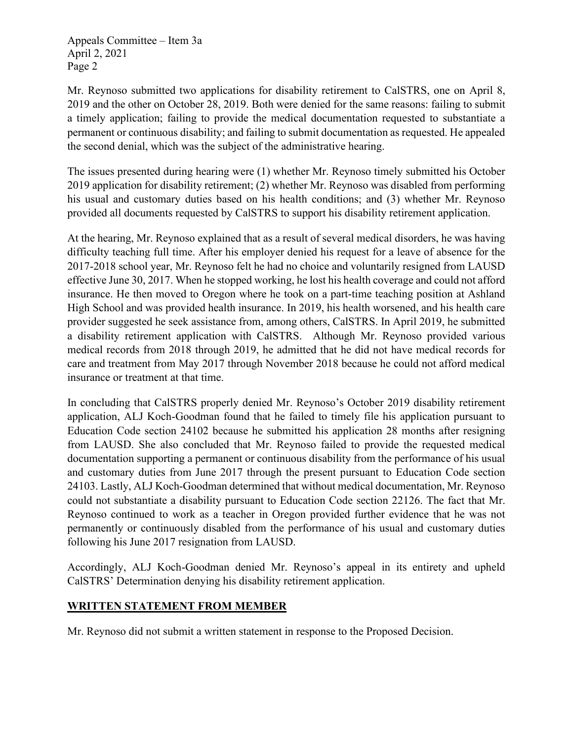Appeals Committee – Item 3a April 2, 2021 Page 2

Mr. Reynoso submitted two applications for disability retirement to CalSTRS, one on April 8, 2019 and the other on October 28, 2019. Both were denied for the same reasons: failing to submit a timely application; failing to provide the medical documentation requested to substantiate a permanent or continuous disability; and failing to submit documentation as requested. He appealed the second denial, which was the subject of the administrative hearing.

The issues presented during hearing were (1) whether Mr. Reynoso timely submitted his October 2019 application for disability retirement; (2) whether Mr. Reynoso was disabled from performing his usual and customary duties based on his health conditions; and (3) whether Mr. Reynoso provided all documents requested by CalSTRS to support his disability retirement application.

At the hearing, Mr. Reynoso explained that as a result of several medical disorders, he was having difficulty teaching full time. After his employer denied his request for a leave of absence for the 2017-2018 school year, Mr. Reynoso felt he had no choice and voluntarily resigned from LAUSD effective June 30, 2017. When he stopped working, he lost his health coverage and could not afford insurance. He then moved to Oregon where he took on a part-time teaching position at Ashland High School and was provided health insurance. In 2019, his health worsened, and his health care provider suggested he seek assistance from, among others, CalSTRS. In April 2019, he submitted a disability retirement application with CalSTRS. Although Mr. Reynoso provided various medical records from 2018 through 2019, he admitted that he did not have medical records for care and treatment from May 2017 through November 2018 because he could not afford medical insurance or treatment at that time.

In concluding that CalSTRS properly denied Mr. Reynoso's October 2019 disability retirement application, ALJ Koch-Goodman found that he failed to timely file his application pursuant to Education Code section 24102 because he submitted his application 28 months after resigning from LAUSD. She also concluded that Mr. Reynoso failed to provide the requested medical documentation supporting a permanent or continuous disability from the performance of his usual and customary duties from June 2017 through the present pursuant to Education Code section 24103. Lastly, ALJ Koch-Goodman determined that without medical documentation, Mr. Reynoso could not substantiate a disability pursuant to Education Code section 22126. The fact that Mr. Reynoso continued to work as a teacher in Oregon provided further evidence that he was not permanently or continuously disabled from the performance of his usual and customary duties following his June 2017 resignation from LAUSD.

Accordingly, ALJ Koch-Goodman denied Mr. Reynoso's appeal in its entirety and upheld CalSTRS' Determination denying his disability retirement application.

#### **WRITTEN STATEMENT FROM MEMBER**

Mr. Reynoso did not submit a written statement in response to the Proposed Decision.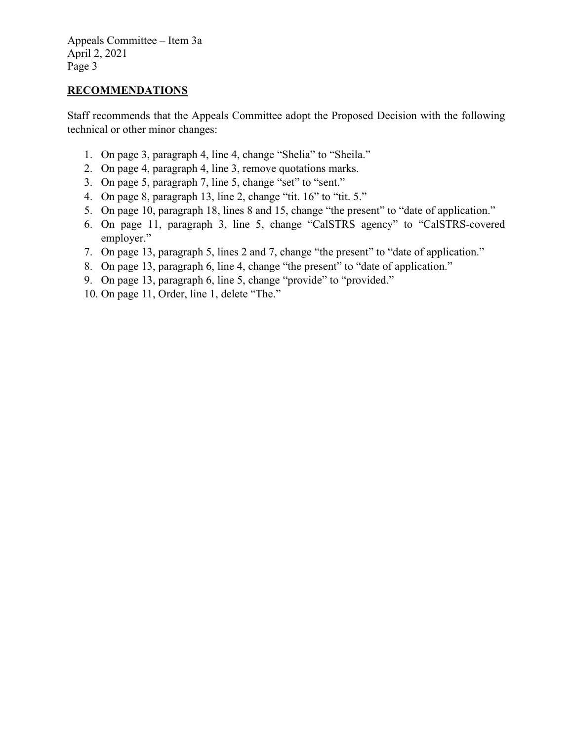Appeals Committee – Item 3a April 2, 2021 Page 3

#### **RECOMMENDATIONS**

Staff recommends that the Appeals Committee adopt the Proposed Decision with the following technical or other minor changes:

- 1. On page 3, paragraph 4, line 4, change "Shelia" to "Sheila."
- 2. On page 4, paragraph 4, line 3, remove quotations marks.
- 3. On page 5, paragraph 7, line 5, change "set" to "sent."
- 4. On page 8, paragraph 13, line 2, change "tit. 16" to "tit. 5."
- 5. On page 10, paragraph 18, lines 8 and 15, change "the present" to "date of application."
- 6. On page 11, paragraph 3, line 5, change "CalSTRS agency" to "CalSTRS-covered employer."
- 7. On page 13, paragraph 5, lines 2 and 7, change "the present" to "date of application."
- 8. On page 13, paragraph 6, line 4, change "the present" to "date of application."
- 9. On page 13, paragraph 6, line 5, change "provide" to "provided."
- 10. On page 11, Order, line 1, delete "The."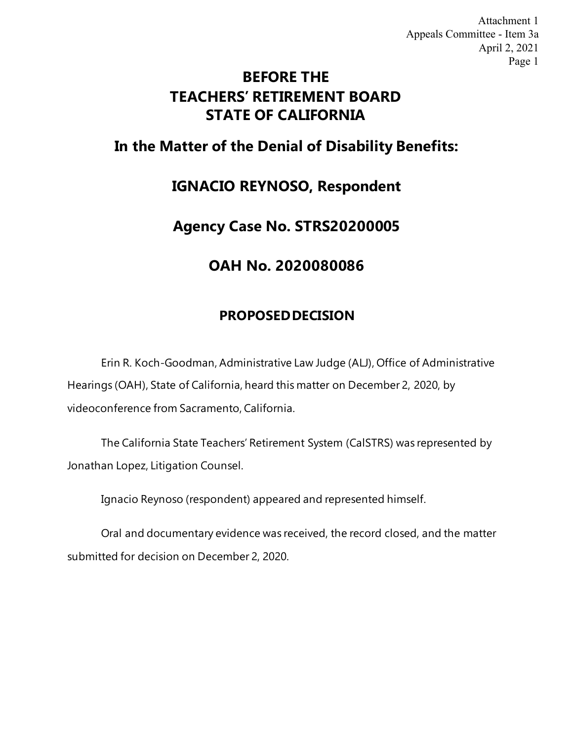# **BEFORE THE TEACHERS' RETIREMENT BOARD STATE OF CALIFORNIA**

# **In the Matter of the Denial of Disability Benefits:**

# **IGNACIO REYNOSO, Respondent**

# **Agency Case No. STRS20200005**

# **OAH No. 2020080086**

# **PROPOSED DECISION**

Erin R. Koch-Goodman, Administrative Law Judge (ALJ), Office of Administrative Hearings (OAH), State of California, heard this matter on December 2, 2020, by videoconference from Sacramento, California.

The California State Teachers' Retirement System (CalSTRS) was represented by Jonathan Lopez, Litigation Counsel.

Ignacio Reynoso (respondent) appeared and represented himself.

Oral and documentary evidence was received, the record closed, and the matter submitted for decision on December 2, 2020.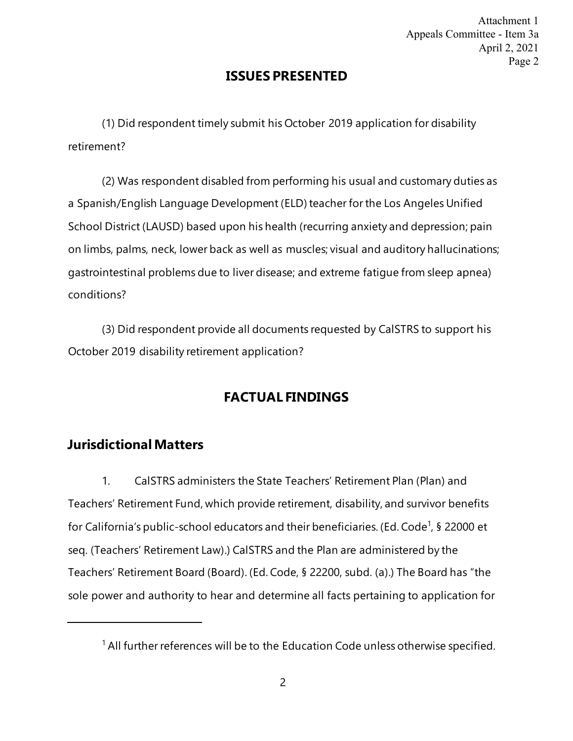## **ISSUES PRESENTED**

<span id="page-4-0"></span>(1) Did respondent timely submit his October 2019 application for disability retirement?

(2) Was respondent disabled from performing his usual and customary duties as a Spanish/English Language Development (ELD) teacher for the Los Angeles Unified School District (LAUSD) based upon his health (recurring anxiety and depression; pain on limbs, palms, neck, lower back as well as muscles; visual and auditory hallucinations; gastrointestinal problems due to liver disease; and extreme fatigue from sleep apnea) conditions?

(3) Did respondent provide all documents requested by CalSTRS to support his October 2019 disability retirement application?

# **FACTUAL FINDINGS**

## **Jurisdictional Matters**

1. CalSTRS administers the State Teachers' Retirement Plan (Plan) and Teachers' Retirement Fund, which provide retirement, disability, and survivor benefits for California's public-school [e](#page-4-0)ducators and their beneficiaries. (Ed. Code<sup>1</sup>, § 22000 et seq. (Teachers' Retirement Law).) CalSTRS and the Plan are administered by the Teachers' Retirement Board (Board). (Ed. Code, § 22200, subd. (a).) The Board has "the sole power and authority to hear and determine all facts pertaining to application for

 $1$  All further references will be to the Education Code unless otherwise specified.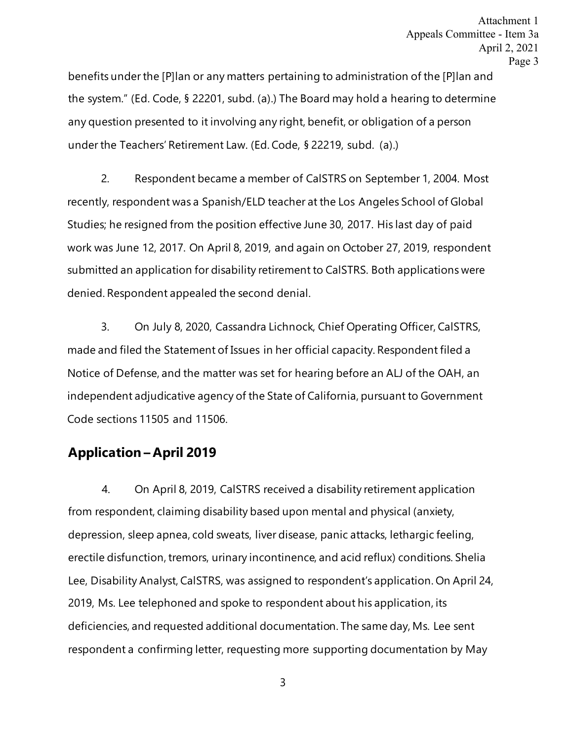benefits under the [P]lan or any matters pertaining to administration of the [P]lan and the system." (Ed. Code, § 22201, subd. (a).) The Board may hold a hearing to determine any question presented to it involving any right, benefit, or obligation of a person under the Teachers' Retirement Law. (Ed. Code, § 22219, subd. (a).)

2. Respondent became a member of CalSTRS on September 1, 2004. Most recently, respondent was a Spanish/ELD teacher at the Los Angeles School of Global Studies; he resigned from the position effective June 30, 2017. His last day of paid work was June 12, 2017. On April 8, 2019, and again on October 27, 2019, respondent submitted an application for disability retirement to CalSTRS. Both applications were denied. Respondent appealed the second denial.

3. On July 8, 2020, Cassandra Lichnock, Chief Operating Officer, CalSTRS, made and filed the Statement of Issues in her official capacity. Respondent filed a Notice of Defense, and the matter was set for hearing before an ALJ of the OAH, an independent adjudicative agency of the State of California, pursuant to Government Code sections 11505 and 11506.

### **Application – April 2019**

4. On April 8, 2019, CalSTRS received a disability retirement application from respondent, claiming disability based upon mental and physical (anxiety, depression, sleep apnea, cold sweats, liver disease, panic attacks, lethargic feeling, erectile disfunction, tremors, urinary incontinence, and acid reflux) conditions. Shelia Lee, Disability Analyst, CalSTRS, was assigned to respondent's application. On April 24, 2019, Ms. Lee telephoned and spoke to respondent about his application, its deficiencies, and requested additional documentation. The same day, Ms. Lee sent respondent a confirming letter, requesting more supporting documentation by May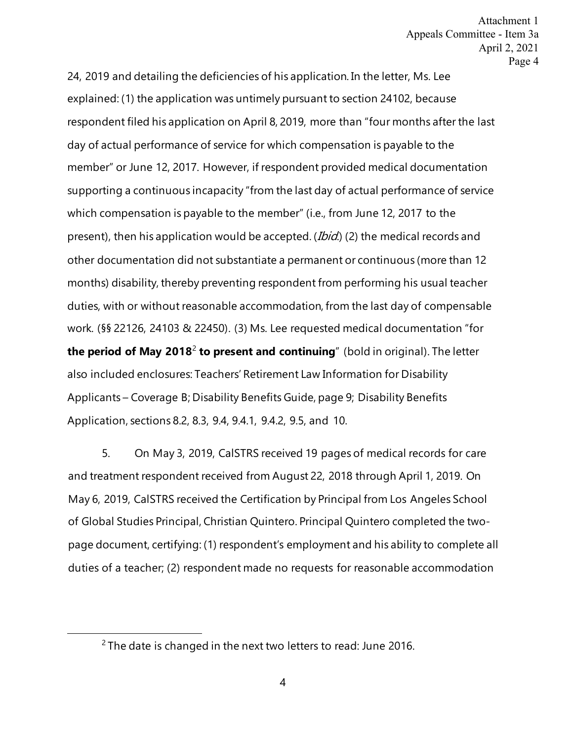<span id="page-6-0"></span>24, 2019 and detailing the deficiencies of his application. In the letter, Ms. Lee explained: (1) the application was untimely pursuant to section 24102, because respondent filed his application on April 8, 2019, more than "four months after the last day of actual performance of service for which compensation is payable to the member" or June 12, 2017. However, if respondent provided medical documentation supporting a continuous incapacity "from the last day of actual performance of service which compensation is payable to the member" (i.e., from June 12, 2017 to the present), then his application would be accepted. (*Ibid*.) (2) the medical records and other documentation did not substantiate a permanent or continuous (more than 12 months) disability, thereby preventing respondent from performing his usual teacher duties, with or without reasonable accommodation, from the last day of compensable work. (§§ 22126, 24103 & 22450). (3) Ms. Lee requested medical documentation "for **the period of May 2018**[2](#page-6-0) **to present and continuing**" (bold in original). The letter also included enclosures: Teachers' Retirement Law Information for Disability Applicants – Coverage B; Disability Benefits Guide, page 9; Disability Benefits Application, sections 8.2, 8.3, 9.4, 9.4.1, 9.4.2, 9.5, and 10.

5. On May 3, 2019, CalSTRS received 19 pages of medical records for care and treatment respondent received from August 22, 2018 through April 1, 2019. On May 6, 2019, CalSTRS received the Certification by Principal from Los Angeles School of Global Studies Principal, Christian Quintero. Principal Quintero completed the twopage document, certifying: (1) respondent's employment and his ability to complete all duties of a teacher; (2) respondent made no requests for reasonable accommodation

 $2$  The date is changed in the next two letters to read: June 2016.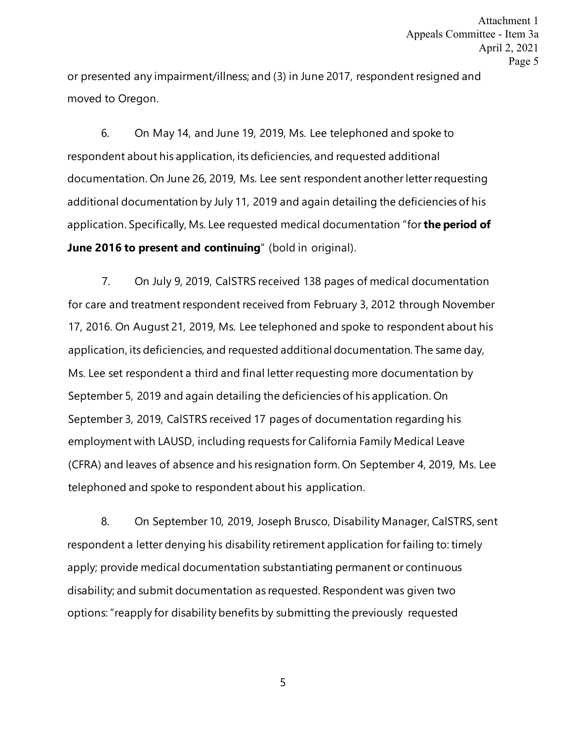or presented any impairment/illness; and (3) in June 2017, respondent resigned and moved to Oregon.

6. On May 14, and June 19, 2019, Ms. Lee telephoned and spoke to respondent about his application, its deficiencies, and requested additional documentation. On June 26, 2019, Ms. Lee sent respondent another letter requesting additional documentation by July 11, 2019 and again detailing the deficiencies of his application. Specifically, Ms. Lee requested medical documentation "for **the period of June 2016 to present and continuing**" (bold in original).

7. On July 9, 2019, CalSTRS received 138 pages of medical documentation for care and treatment respondent received from February 3, 2012 through November 17, 2016. On August 21, 2019, Ms. Lee telephoned and spoke to respondent about his application, its deficiencies, and requested additional documentation. The same day, Ms. Lee set respondent a third and final letter requesting more documentation by September 5, 2019 and again detailing the deficiencies of his application. On September 3, 2019, CalSTRS received 17 pages of documentation regarding his employment with LAUSD, including requests for California Family Medical Leave (CFRA) and leaves of absence and his resignation form. On September 4, 2019, Ms. Lee telephoned and spoke to respondent about his application.

8. On September 10, 2019, Joseph Brusco, Disability Manager, CalSTRS, sent respondent a letter denying his disability retirement application for failing to: timely apply; provide medical documentation substantiating permanent or continuous disability; and submit documentation as requested. Respondent was given two options: "reapply for disability benefits by submitting the previously requested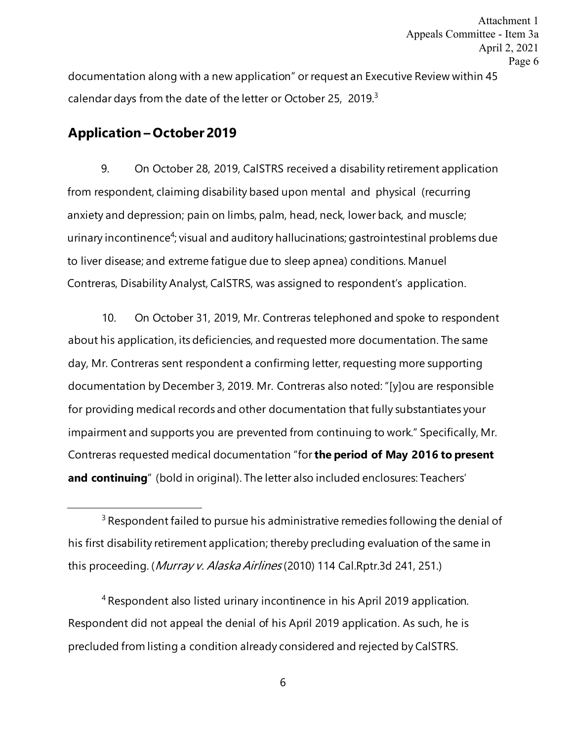<span id="page-8-0"></span>documentation along with a new application" or request an Executive Review within 45 calendar days from the date of the letter or October 25, 2019.<sup>3</sup> Attachment 1 Appeals Committee - Item 3a April 2, 2021 Page 6

## **Application – October 2019**

9. On October 28, 2019, CalSTRS received a disability retirement application from respondent, claiming disability based upon mental and physical (recurring anxiety and depression; pain on limbs, palm, head, neck, lower back, and muscle; urinary incontin[e](#page-8-0)nce<sup>4</sup>; visual and auditory hallucinations; gastrointestinal problems due to liver disease; and extreme fatigue due to sleep apnea) conditions. Manuel Contreras, Disability Analyst, CalSTRS, was assigned to respondent's application.

10. On October 31, 2019, Mr. Contreras telephoned and spoke to respondent about his application, its deficiencies, and requested more documentation. The same day, Mr. Contreras sent respondent a confirming letter, requesting more supporting documentation by December 3, 2019. Mr. Contreras also noted: "[y]ou are responsible for providing medical records and other documentation that fully substantiates your impairment and supports you are prevented from continuing to work." Specifically, Mr. Contreras requested medical documentation "for **the period of May 2016 to present and continuing**" (bold in original). The letter also included enclosures: Teachers'

4 Respondent also listed urinary incontinence in his April 2019 application. Respondent did not appeal the denial of his April 2019 application. As such, he is precluded from listing a condition already considered and rejected by CalSTRS.

 $3$  Respondent failed to pursue his administrative remedies following the denial of his first disability retirement application; thereby precluding evaluation of the same in this proceeding. (Murray v. Alaska Airlines (2010) 114 Cal.Rptr.3d 241, 251.)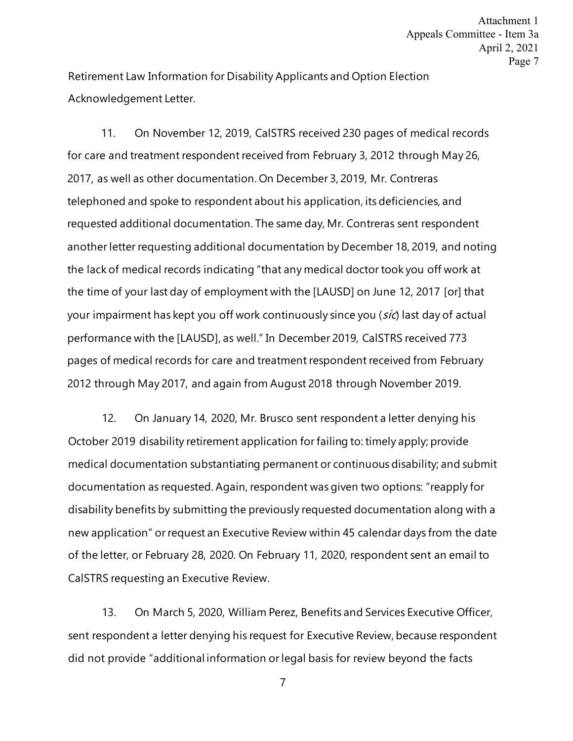Retirement Law Information for Disability Applicants and Option Election Acknowledgement Letter.

11. On November 12, 2019, CalSTRS received 230 pages of medical records for care and treatment respondent received from February 3, 2012 through May 26, 2017, as well as other documentation. On December 3, 2019, Mr. Contreras telephoned and spoke to respondent about his application, its deficiencies, and requested additional documentation. The same day, Mr. Contreras sent respondent another letter requesting additional documentation by December 18, 2019, and noting the lack of medical records indicating "that any medical doctor took you off work at the time of your last day of employment with the [LAUSD] on June 12, 2017 [or] that your impairment has kept you off work continuously since you (sic) last day of actual performance with the [LAUSD], as well." In December 2019, CalSTRS received 773 pages of medical records for care and treatment respondent received from February 2012 through May 2017, and again from August 2018 through November 2019.

12. On January 14, 2020, Mr. Brusco sent respondent a letter denying his October 2019 disability retirement application for failing to: timely apply; provide medical documentation substantiating permanent or continuous disability; and submit documentation as requested. Again, respondent was given two options: "reapply for disability benefits by submitting the previously requested documentation along with a new application" or request an Executive Review within 45 calendar days from the date of the letter, or February 28, 2020. On February 11, 2020, respondent sent an email to CalSTRS requesting an Executive Review.

13. On March 5, 2020, William Perez, Benefits and Services Executive Officer, sent respondent a letter denying his request for Executive Review, because respondent did not provide "additional information or legal basis for review beyond the facts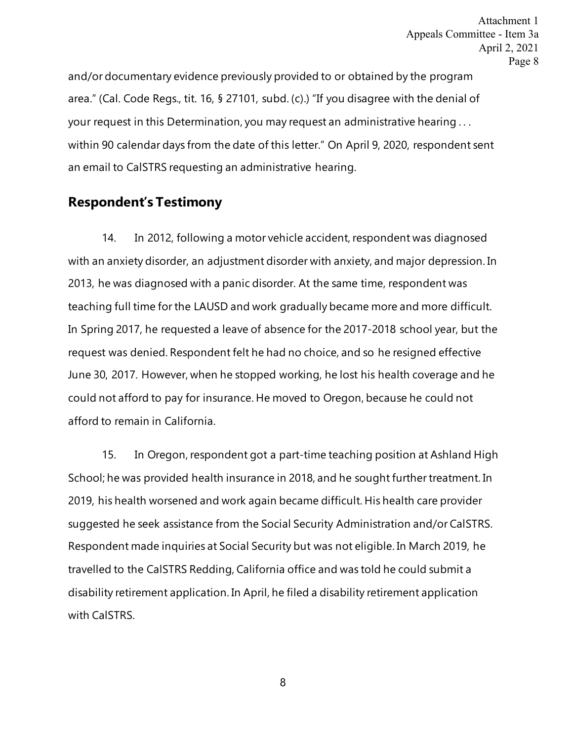and/or documentary evidence previously provided to or obtained by the program area." (Cal. Code Regs., tit. 16, § 27101, subd. (c).) "If you disagree with the denial of your request in this Determination, you may request an administrative hearing . . . within 90 calendar days from the date of this letter." On April 9, 2020, respondent sent an email to CalSTRS requesting an administrative hearing.

### **Respondent's Testimony**

14. In 2012, following a motor vehicle accident, respondent was diagnosed with an anxiety disorder, an adjustment disorder with anxiety, and major depression. In 2013, he was diagnosed with a panic disorder. At the same time, respondent was teaching full time for the LAUSD and work gradually became more and more difficult. In Spring 2017, he requested a leave of absence for the 2017-2018 school year, but the request was denied. Respondent felt he had no choice, and so he resigned effective June 30, 2017. However, when he stopped working, he lost his health coverage and he could not afford to pay for insurance. He moved to Oregon, because he could not afford to remain in California.

15. In Oregon, respondent got a part-time teaching position at Ashland High School; he was provided health insurance in 2018, and he sought further treatment. In 2019, his health worsened and work again became difficult. His health care provider suggested he seek assistance from the Social Security Administration and/or CalSTRS. Respondent made inquiries at Social Security but was not eligible. In March 2019, he travelled to the CalSTRS Redding, California office and was told he could submit a disability retirement application. In April, he filed a disability retirement application with CalSTRS.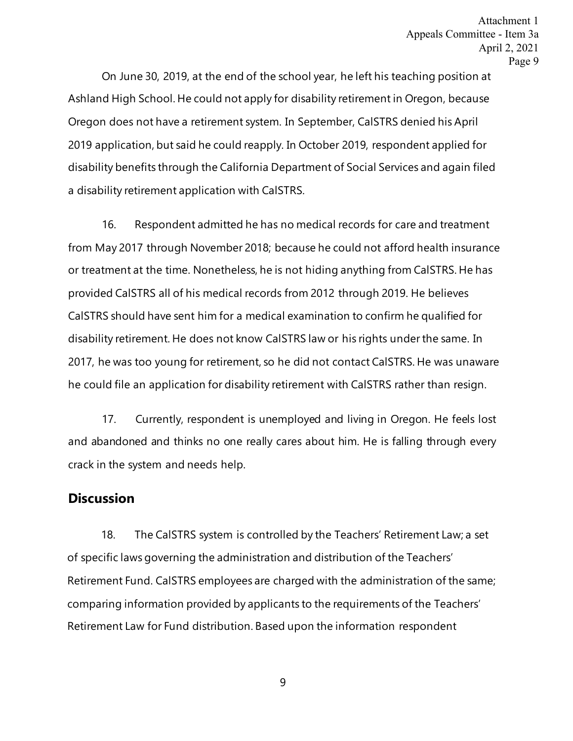On June 30, 2019, at the end of the school year, he left his teaching position at Ashland High School. He could not apply for disability retirement in Oregon, because Oregon does not have a retirement system. In September, CalSTRS denied his April 2019 application, but said he could reapply. In October 2019, respondent applied for disability benefits through the California Department of Social Services and again filed a disability retirement application with CalSTRS.

16. Respondent admitted he has no medical records for care and treatment from May 2017 through November 2018; because he could not afford health insurance or treatment at the time. Nonetheless, he is not hiding anything from CalSTRS. He has provided CalSTRS all of his medical records from 2012 through 2019. He believes CalSTRS should have sent him for a medical examination to confirm he qualified for disability retirement. He does not know CalSTRS law or his rights under the same. In 2017, he was too young for retirement, so he did not contact CalSTRS. He was unaware he could file an application for disability retirement with CalSTRS rather than resign.

17. Currently, respondent is unemployed and living in Oregon. He feels lost and abandoned and thinks no one really cares about him. He is falling through every crack in the system and needs help.

### **Discussion**

18. The CalSTRS system is controlled by the Teachers' Retirement Law; a set of specific laws governing the administration and distribution of the Teachers' Retirement Fund. CalSTRS employees are charged with the administration of the same; comparing information provided by applicants to the requirements of the Teachers' Retirement Law for Fund distribution. Based upon the information respondent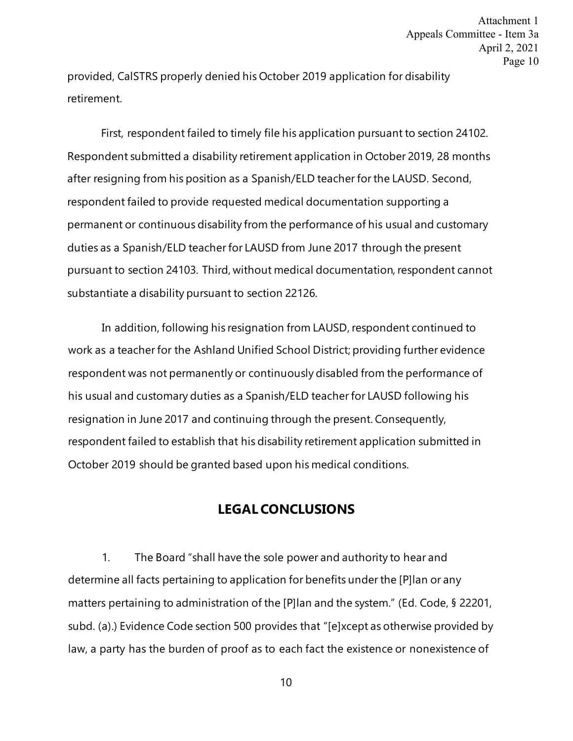provided, CalSTRS properly denied his October 2019 application for disability retirement.

First, respondent failed to timely file his application pursuant to section 24102. Respondent submitted a disability retirement application in October 2019, 28 months after resigning from his position as a Spanish/ELD teacher for the LAUSD. Second, respondent failed to provide requested medical documentation supporting a permanent or continuous disability from the performance of his usual and customary duties as a Spanish/ELD teacher for LAUSD from June 2017 through the present pursuant to section 24103. Third, without medical documentation, respondent cannot substantiate a disability pursuant to section 22126.

In addition, following his resignation from LAUSD, respondent continued to work as a teacher for the Ashland Unified School District; providing further evidence respondent was not permanently or continuously disabled from the performance of his usual and customary duties as a Spanish/ELD teacher for LAUSD following his resignation in June 2017 and continuing through the present. Consequently, respondent failed to establish that his disability retirement application submitted in October 2019 should be granted based upon his medical conditions.

#### **LEGAL CONCLUSIONS**

1. The Board "shall have the sole power and authority to hear and determine all facts pertaining to application for benefits under the [P]lan or any matters pertaining to administration of the [P]lan and the system." (Ed. Code, § 22201, subd. (a).) Evidence Code section 500 provides that "[e]xcept as otherwise provided by law, a party has the burden of proof as to each fact the existence or nonexistence of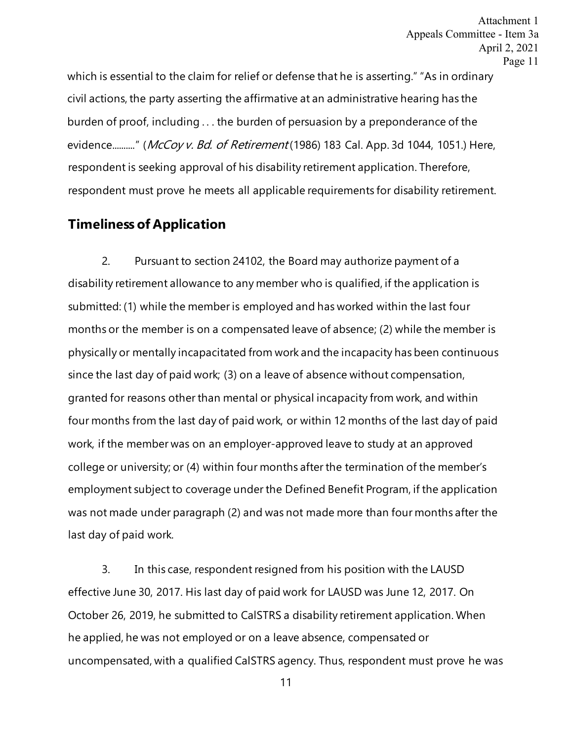which is essential to the claim for relief or defense that he is asserting." "As in ordinary civil actions, the party asserting the affirmative at an administrative hearing has the burden of proof, including . . . the burden of persuasion by a preponderance of the evidence.........." (McCov v. Bd. of Retirement (1986) 183 Cal. App. 3d 1044, 1051.) Here, respondent is seeking approval of his disability retirement application. Therefore, respondent must prove he meets all applicable requirements for disability retirement.

## **Timeliness of Application**

2. Pursuant to section 24102, the Board may authorize payment of a disability retirement allowance to any member who is qualified, if the application is submitted: (1) while the member is employed and has worked within the last four months or the member is on a compensated leave of absence; (2) while the member is physically or mentally incapacitated from work and the incapacity has been continuous since the last day of paid work; (3) on a leave of absence without compensation, granted for reasons other than mental or physical incapacity from work, and within four months from the last day of paid work, or within 12 months of the last day of paid work, if the member was on an employer-approved leave to study at an approved college or university; or (4) within four months after the termination of the member's employment subject to coverage under the Defined Benefit Program, if the application was not made under paragraph (2) and was not made more than four months after the last day of paid work.

3. In this case, respondent resigned from his position with the LAUSD effective June 30, 2017. His last day of paid work for LAUSD was June 12, 2017. On October 26, 2019, he submitted to CalSTRS a disability retirement application. When he applied, he was not employed or on a leave absence, compensated or uncompensated, with a qualified CalSTRS agency. Thus, respondent must prove he was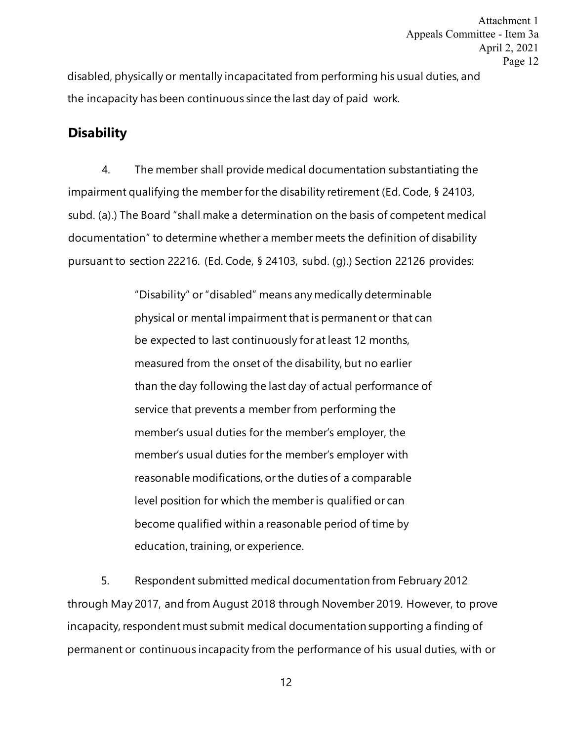disabled, physically or mentally incapacitated from performing his usual duties, and the incapacity has been continuous since the last day of paid work.

#### **Disability**

4. The member shall provide medical documentation substantiating the impairment qualifying the member for the disability retirement (Ed. Code, § 24103, subd. (a).) The Board "shall make a determination on the basis of competent medical documentation" to determine whether a member meets the definition of disability pursuant to section 22216. (Ed. Code, § 24103, subd. (g).) Section 22126 provides:

> "Disability" or "disabled" means any medically determinable physical or mental impairment that is permanent or that can be expected to last continuously for at least 12 months, measured from the onset of the disability, but no earlier than the day following the last day of actual performance of service that prevents a member from performing the member's usual duties for the member's employer, the member's usual duties for the member's employer with reasonable modifications, or the duties of a comparable level position for which the member is qualified or can become qualified within a reasonable period of time by education, training, or experience.

5. Respondent submitted medical documentation from February 2012 through May 2017, and from August 2018 through November 2019. However, to prove incapacity, respondent must submit medical documentation supporting a finding of permanent or continuous incapacity from the performance of his usual duties, with or